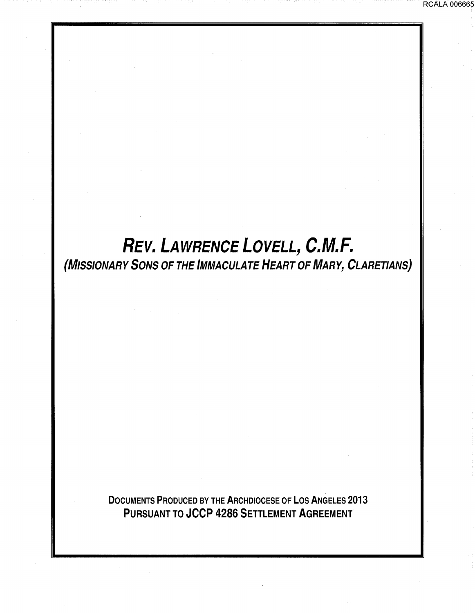## **REV. LAWRENCE LOVELL, C.M.F.**  (MISSIONARY SONS OF THE IMMACULATE HEART OF MARY, CLARETIANS}

DOCUMENTS PRODUCED BY THE ARCHDIOCESE OF LOS ANGELES 2013 PURSUANT TO JCCP 4286 SETTLEMENT AGREEMENT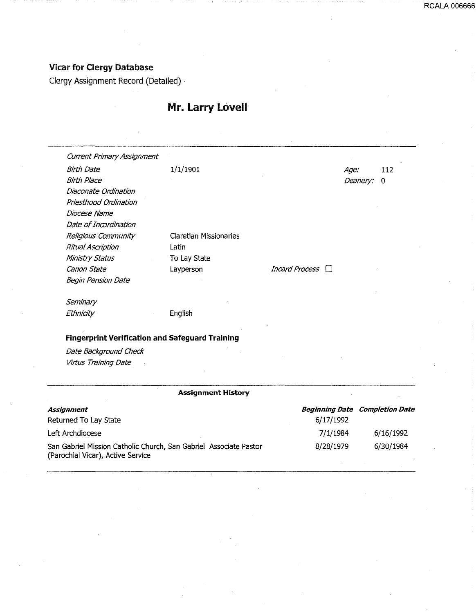RCALA 006666

#### Vicar for Clergy Database

Clergy Assignment Record (Detailed) ·

#### Mr. larry lovell

Current Primary Assignment Birth Date 1/1/1901 Birth Place Diaconate Ordination Priesthood Ordination Diocese Name Date of Incardination Religious Community Ritual Ascription Ministry Status Canon State Begin Pension Date **Seminary Ethnicity** Claretian Missionaries Latin To Lay State Layperson English **Fingerprint Verification and Safeguard Training**  Date Background Check Virtus Training Date **Assignment History Assignment** Returned To Lay State Left Archdiocese San Gabriel Mission Catholic Church, San Gabriel Associate Pastor (Parochial Vicar), Active Service Age: 112 Deanery: 0 Incard Process  $\Box$ Beginning Date Completion Date 6/17/1992 7/1/1984 8/28/1979 6/16/1992 6/30/1984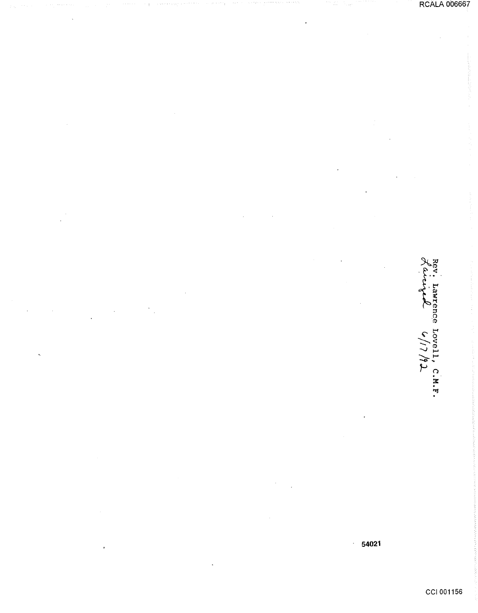Rev. Lawrence Lovell, C.M.F.<br>Lavrige  $\sigma/17/72$ 

54021  $\bar{z}$ 

CCI 001156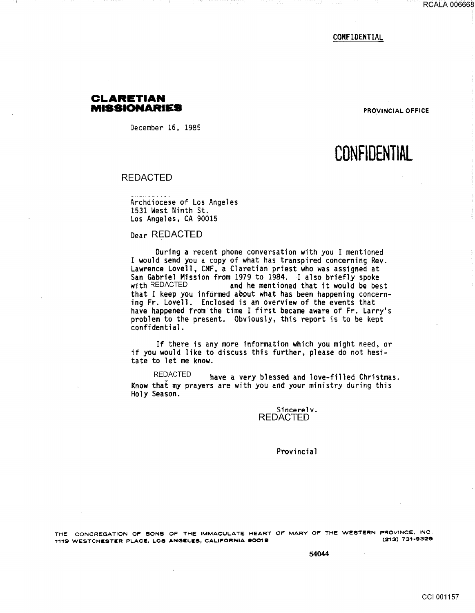CONFIDENTIAL

#### **CLARETIAN MISSIONARIES PROVINCIAL OFFICE**

December 16, 1985

## **CONFlOENTIAL**

#### REDACTED

Archdiocese of Los Angeles 1531 West Ninth St. Los Angeles, CA 90015

#### Dear REDACTED

During a recent phone conversation with you I mentioned I would send you a copy of what has transpired concerning Rev. Lawrence Lovell, CMF, a Claretian priest who was assigned at San Gabriel Mission from 1979 to 1984. I also briefly spoke with REDACTED and he mentioned that it would be best that I keep you informed about what has been happening concerning Fr. Lovell. Enclosed is an overview of the events that have happened from the time I first became aware of Fr. Larry's problem to the present. Obviously, this report is to be kept confidential.

If there is any more information which you might need, or if you would like to discuss this further, please do not hesitate to let me know.

REDACTED have a very blessed and love-filled Christmas. Know that my prayers are with you and your ministry during this Holy Season.

> Sincerelv. REDACTED

> > Provincial

THE CONGREGATION OF SONS OF THE IMMACULATE HEART OF MARV OF THE WESTERN PROVINCE. INC. 1119 WESTCHESTER PLACE, LOS ANGELES, CALIFORNIA 90019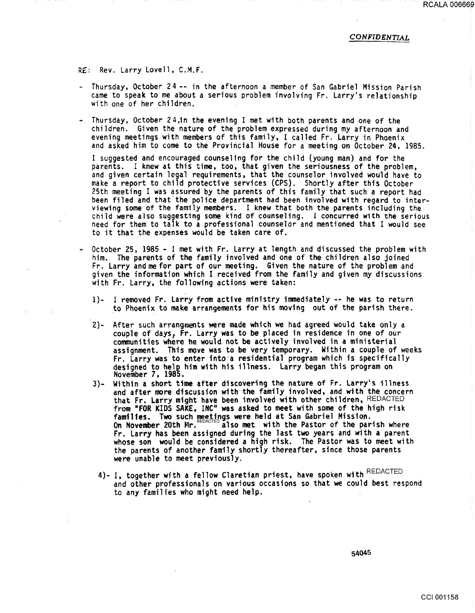RCALA 006669

#### CONFIDENTIAL

R£: Rev. Larry Lovell, C.M.F.

- Thursday, October 24-- in the afternoon a member of San Gabriel Mission Parish came to speak to me about a serious problem involving Fr. Larry's relationship with one of her children.
- Thursday, October 24,in the evening I met with both parents and one of the children. Given the nature of the problem expressed during my afternoon and evening meetings with members of this family, I called Fr. Larry in Phoenix and asked him to come to the Provincial House for a meeting on October 24, 1985.

I suggested and encouraged counseling for the child (young man) and for the parents. I knew at this time, too, that given the seriousness of the problem, and given certain legal requirements, that the counselor involved would have to make a report to child protective services (CPS). Shortly after this October 25th meeting I was assured by the parents of this family that such a report had been filed and that the police department had been involved with regard to interviewing some of the family members. I knew that both the parents including the child were aiso suggesting some kind of counseling. I concurred with the serious need for them to talk to a professional counselor and mentioned that I would see to it that the expenses would be taken care of.

- October 25, 1985 I met with Fr. Larry at length and discussed the problem with<br>him. The parents of the family involved and one of the children also joined Fr. Larry and me for part of our meeting. Given the nature of the problem and given the information which I received from the family and given my discussions with Fr. Larry, the following actions were taken:
	- 1)- I removed Fr. Larry from active ministry immediately -- he was to return to Phoenix to make arrangements for his moving out of the parish there.
	- 2)- After such arrangments were made which we had agreed would take only a couple of days, Fr. Larry was to be placed in residence in one of our communities where he would not be actively involved in a ministerial assignment. This move was to be very temporary. Within a couple of weeks<br>Fr. Larry was to enter into a residential program which is specifically designed to help him with his illness. Larry began this program on November 7, 1985.
	- 3)- Within a short time after discovering the nature of Fr. Larry's illness and after more discussion with the family involved, and with the concern that Fr. Larry might have been involved with other children, REDACTED from "FOR KIDS SAKE, INC" was asked to meet with some of the high risk families. Two such meetings were held at San Gabriel Mission. On November 20th Mr.  $REDACTED$  also met with the Pastor of the parish where On November 20th Mr. NeuActed also met with the Pastor of the parish where<br>Fr. Larry has been assigned during the last two years and with a parent<br>whose son would be considered a high risk. The Pastor was to meet with the parents of another family shortly thereafter, since those parents were unable to meet previously.
		- 4)- I, together with a fellow Claretian priest, have spoken with REDACTED and other professionals on various occasions so that we could best respond to any families who might need help.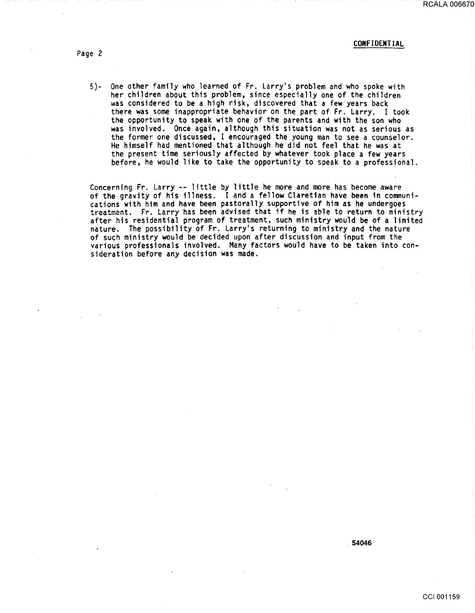#### CONFIDENTIAL

Page *2* 

5)- One other family who learned of Fr. Larry's problem and who spoke with her children about this problem, since especially one of the children was considered to be a high risk, discovered that a few years back there was some inappropriate behavior on the part of Fr. Larry. I took the opportunity to speak with one of the parents and with the son who was involved. Once again, although this situation was not as serious as the former one discussed, I encouraged the young man to see a counselor. He himself had mentioned that although he did not feel that he was at the present time seriously affected by whatever took place a few years before, he would like to take the opportunity to speak to a professional.

Concerning Fr. Larry-- little by little he more and more has become aware of the gravity of his illness. I and a fellow Claretian have been in communications with him and have been pastorally supportive of him as he undergoes<br>treatment. Fr. Larry has been advised that if he is able to return to ministry after his residential program of treatment, such ministry would be of a limited nature. The possibility of Fr. Larry's returning to ministry and the nature of such ministry would be decided upon after discussion and input from the various professionals involved. Many factors would have to be taken into consideration before any decision was made.

. 54046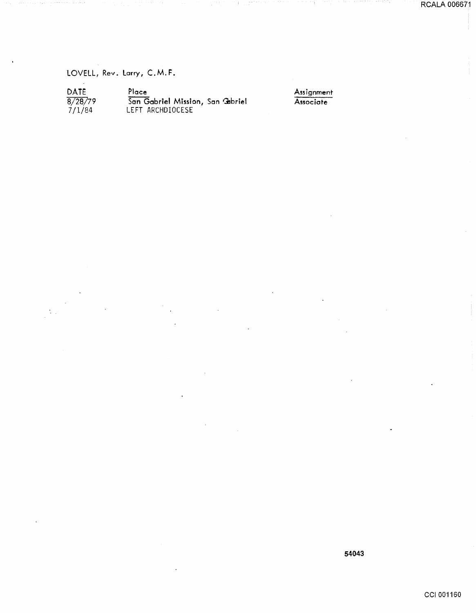RCALA 006671

LOVELL, Rev. larry, C.M.F.

| DATE    | Plo |
|---------|-----|
| 8/28/79 | Sai |
| 7/1/84  | LEF |

ace San Gabriel Mission, San Gabriel LEFT ARCHDIOCESE

Assignment **Associate**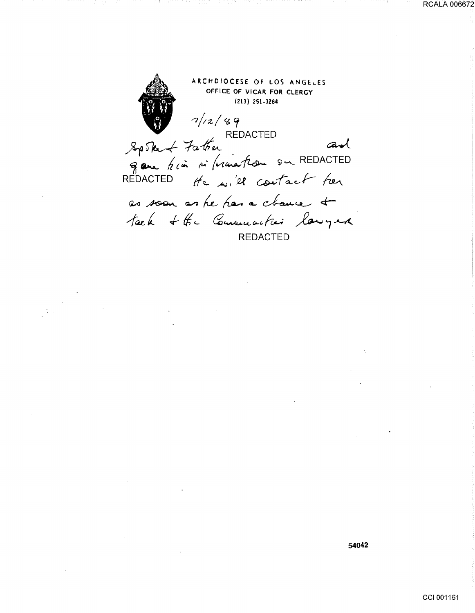ARCHDIOCESE OF LOS ANGELES OFFICE OF VICAR FOR CLERGY (213) 251-3284 */)(z/ C&* 'f U. REDACTED  $~8p$ Ske + Father ~ ~ ~(~ *1 ... •* (vc~~ 9~ REDACTED REDACTED *lf'L* AJ <sup>1</sup> 1 el contact her as soon as he has a chance &  $\frac{1}{\sqrt{2\pi}}$  + the Communities lawyer

**54042**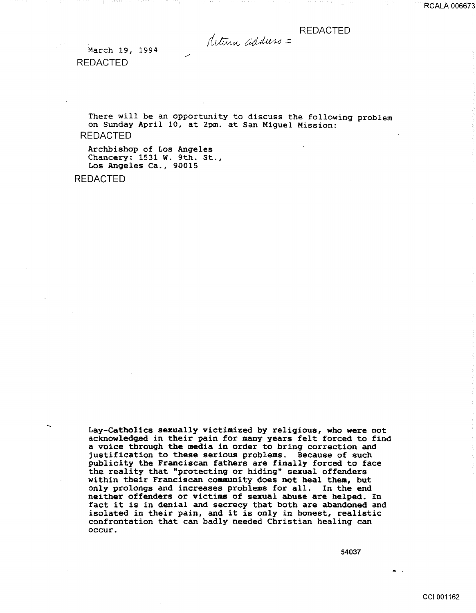deturn address =

March 19, 1994 REDACTED

There will be an opportunity to discuss the following problem on Sunday April 10, at 2pm. at San Miguel Mission: REDACTED

Archbishop of Los Angeles Chancery: 1531 W. 9th. St., Los Angeles Ca., 90015

REDACTED

Lay-Catholics sexually victimized by religious, who were not acknowledged in their pain for many years felt forced to find a voice through the media in order to bring correction and justification to these serious problems. Because of such publicity the Franciscan fathers are finally forced to face the reality that "protecting or hiding" sexual offenders within their Franciscan community does not heal them, but only prolongs and increases problems for all. In the end neither offenders or victims of sexual abuse are helped. In fact it is in denial and secrecy that both are abandoned and isolated in their pain, and it is only in honest, realistic confrontation that can badly needed Christian healing can occur.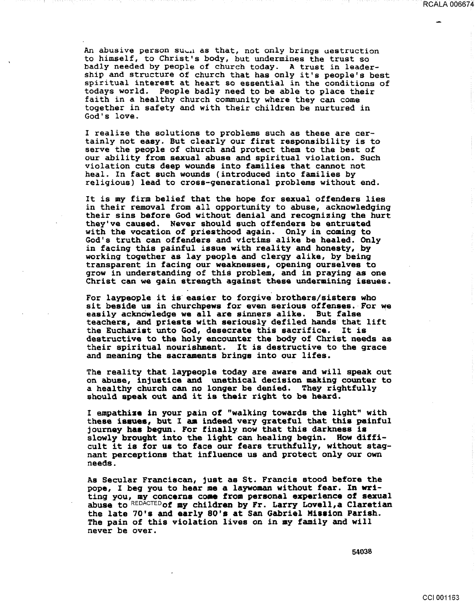An abusive person su~Al as that, not only brings uestruction to himself, to Christ's body, but undermines the trust so badly needed by people of church today. A trust in leadership and structure of church that has only it's people's best spiritual interest at heart so essential in the conditions of todays world. People badly need to be able to place their faith in a healthy church community where they can come together in safety and with their children be nurtured in God's love.

I realize the solutions to problems such as these are certainly not easy. But clearly our first responsibility is to serve the people of church and protect them to the best of our ability from sexual abuse and spiritual violation. Such violation cuts deep wounds into families that cannot not religious) lead to cross-generational problems without end.

It is my firm belief that the hope for sexual offenders lies in their removal from all opportunity to abuse, acknowledging their sins before God without denial and recognizing the hurt they've caused. Never should such offenders be entrusted with the vocation of priesthood again. Only in coming to God's truth can offenders and victims alike be healed. Only in facing this painful issue with reality and honesty, by working together as lay people and clergy alike, by being transparent in facing our weaknesses, opening ourselves to grow in understanding of this problem, and in praying as one Christ can we gain strength against these undermining issues.

For laypeople it is easier to forgive brothers/sisters who sit beside us in churchpews for even serious offenses. For we easily acknowledge we all are sinners alike. But false teachers, and priests with seriously defiled hands that lift the Eucharist unto God, desecrate this sacrifice. It is destructive to the holy encounter the body of Christ needs as their spiritual nourishment. It is destructive to the grace and meaning the sacraments brings into our lifes.

The reality that laypeople today are aware and will speak out on abuse, injustice and unethical decision making counter to a healthy church can no longer be denied. They rightfully should speak out and it is their right to be heard.

I empathize in your pain of "walking towards the light" with these issues, but I am indeed very grateful that this painful journey has begun. For finally now that this darkness is slowly brought into the light can healing begin. How difficult it is for us to face our fears truthfully, without stagnant perceptions that influence us and protect only our own needs.

As Secular Franciscan, just as St. Francis stood before the pope, I beg you to hear me a laywoman without fear. In writing you, my concerns come from personal experience of sexual abuse to REDACTEDof my children by Fr. Larry Lovell,a Claretian the late 70's and early SO's at San Gabriel Mission Parish. The pain of this violation lives on in my family and will never be over.

54038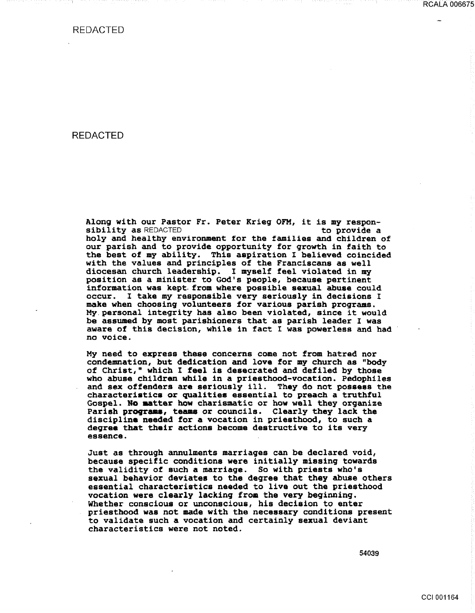#### REDACTED

Along with our Pastor Fr. Peter Krieg OFM, it is my respon-<br>sibility as REDACTED to provide a holy and healthy environment for the families and children of our parish and to provide opportunity for qrowth in faith to the best of my ability. This aspiration I believed coincided with the values and principles of the Franciscans as well diocesan church leadership. I myself feel violated in my position as a minister to God's people, because pertinent information was kept. from where possible sexual abuse could occur. I take my responsible very seriously in decisions I make when choosing volunteers for various parish programs. My.personal integrity has also been violated, since it would be assumed by most parishioners that as parish leader I was aware of this decision, while in fact I was powerless and had no voice.

My need to express these concerns come not from hatred nor condemnation, but dedication and love for my church as "body of Christ," which I feel is desecrated and defiled by those who abuse children while in a priesthood-vocation. Pedophiles and sex offenders are seriously ill. They do not possess the characteristics or qualities essential to preach a truthful Gospel. No aatter how charismatic or how well they organize Parish programs, teams or councils. Clearly they lack the discipline needed for a vocation in priesthood, to such a degree that their actions become destructive to its very essence.

Just as through annulments marriages can be declared void, because specific conditions were initially missing towards the validity of such a marriage. So with priests who's sexual behavior deviates to the degree that they abuse others essential characteristics needed to live out the priesthood vocation were clearly lacking from the very beginning. Whether conscious or unconscious, his decision to enter priesthood was not made with the necessary conditions present to validate such a vocation and certainly sexual deviant characteristics were not noted.

54039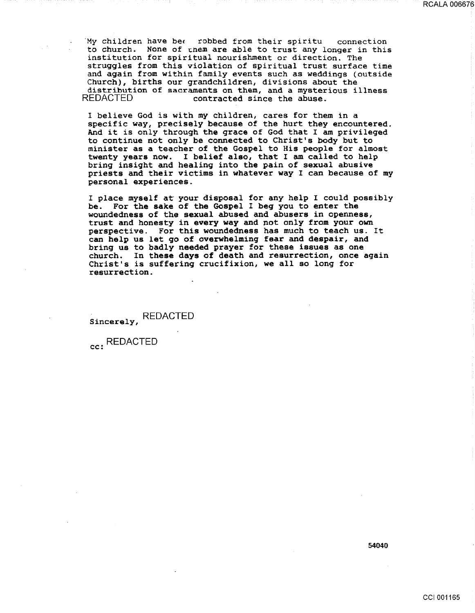'My children have bet robbed from their spiritu connection to church. None of them are able to trust any longer in this institution for spiritual nourishment or direction. The struggles from this violation of spiritual trust surface time and again from within family events such as weddings (outside Church), births our grandchildren, divisions about the distribution of sacraments on them, and a mysterious illness<br>REDACTED contracted since the abuse. contracted since the abuse.

<sup>I</sup>believe God is with *my* children, cares for them in a specific way, precisely because of the hurt they encountered. And it is only through the grace of God that I am privileged to continue not only be connected to Christ's body but to minister as a teacher of the Gospel to His people for almost twenty years now. I belief also, that I am called to help bring insight and healing into the pain of sexual abusive priests and their victims in whatever way I can because of my personal experiences.

I place myself at your disposal for any help I could possibly be. For the sake of the Gospel I beg you to enter the woundedness of the sexual abused and abusers in openness, trust and honesty in every way and not only from your own perspective. For this woundedness has much to teach us. It can help us let go of overwhelming fear and despair, and bring us to badly needed prayer for these issues as one church. In these days of death and resurrection, once again Christ's is suffering crucifixion, we all so long for resurrection.

Sincerely, REDACTED

cc: REDACTED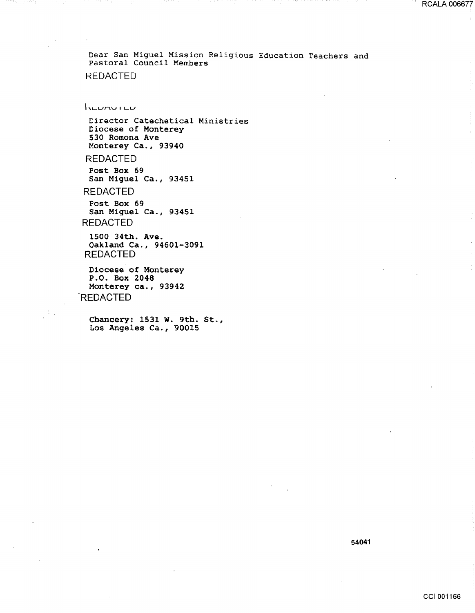**NEUMUTED** 

Director Catechetical Ministries Diocese of Monterey 530 Romona Ave Monterey Ca., 93940

REDACTED

Post Box 69 San Miguel Ca., 93451

REDACTED

Post Box 69 San Miguel Ca., 93451 REDACTED

1500 34th. Ave. Oakland Ca., 94601-3091 REDACTED

Diocese of Monterey P.O. Box 2048 Monterey ca., 93942 **REDACTED** 

Chancery: 1531 W. 9th. St., Los Angeles Ca., 90015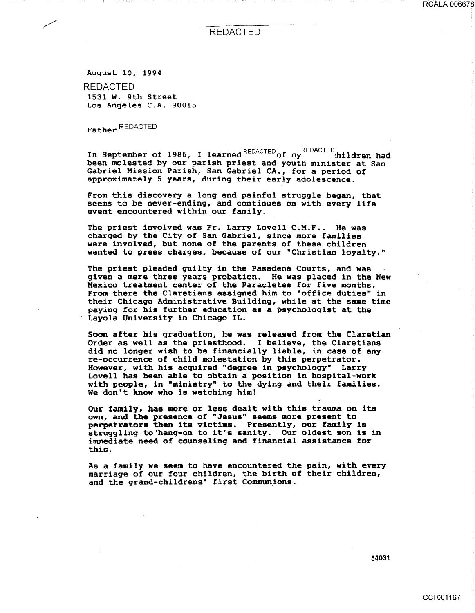RCALA 006678

#### REDACTED

August 10, 1994 REDACTED 1531 W. 9th Street

Los Angeles C.A. 90015

Father REDACTED

In September of 1986, I learned REDACTED of my REDACTED:hildren had been molested by our parish priest and youth minister at San Gabriel Mission Parish, San Gabriel CA., for a period of approximately 5 years, during their early adolescence.

From this discovery a long and painful struggle began, that seems to be never-ending, and continues on with every life event encountered within our family.

The priest involved was Fr. Larry Lovell C.M.F.. He was charged by the City of San Gabriel, since more families were involved, but none of the parents of these children wanted to press charges, because of our "Christian loyalty."

The priest pleaded guilty in the Pasadena Courts, and was given a mere three years probation. He was placed in the New Mexico treatment center of the Paracletes for five months. From there the Claretians assigned him to "office duties" in their Chicago Administrative Building, while at the same time paying for his further education as a psychologist at the Layola University in Chicago IL.

Soon after his graduation, he was released from the Claretian Order as well as the priesthood. I believe, the Claretians did no longer wish to be financially liable, in case of any re-occurrence of child molestation by this perpetrator. However, with his acquired "degree in psychology" Larry Lovell has been able to obtain a position in hospital-work with people, in "ministry" to the dying and their families. We don't know who is watching him!

Our family, has more or less dealt with this trauma on its own, and the presence of "Jesus" seems more present to perpetrators then its victims. Presently, our family is perpetrators then its victims. Presently, our ramily is<br>struggling to'hang-on to it's sanity. Our oldest son is in immediate need of counseling and financial assistance for this.

As a family we seem to have encountered the pain, with every marriage of our four children, the birth of their children, and the grand-childrens' first Communions.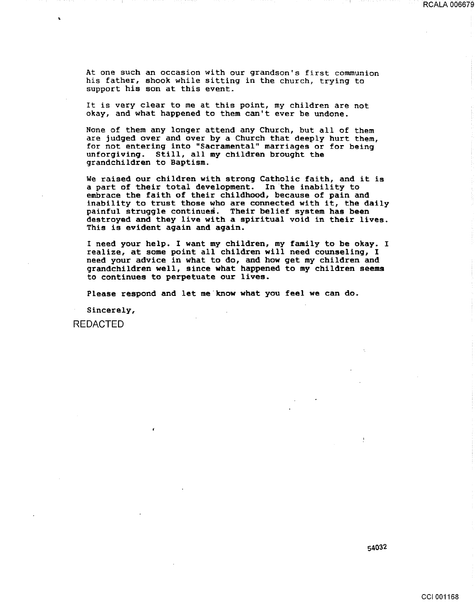At one such an occasion with our grandson's first communion his father, shook while sitting in the church, trying to support his son at this event.

It is very clear to me at this point, my children are not okay, and what happened to them can't ever be undone.

None of them any longer attend any Church, but all of them are judged over and over by a Church that deeply hurt them, for not entering into "Sacramental" marriages or for being unforgiving. Still, all my children brought the grandchildren to Baptism.

We raised our children with strong Catholic faith, and it is a part of their total development. In the inability to embrace the faith of their childhood, because of pain and inability to trust those who are connected with it, the daily painful struggle continues. Their belief system has been destroyed and they live with a spiritual void in their lives. This is evident again and again.

I need your help. I want my children, my family to be okay. I realize, at some point all children will need counseling, I need your advice in what to do, and how get my children and grandchildren well, since what happened to my children seems to continues to perpetuate our lives.

Please respond and let me·know what you feel we can do.

Sincerely,

REDACTED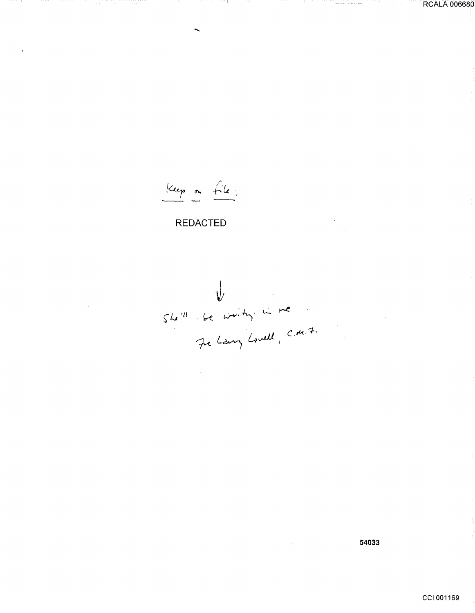Keep on file:

W<br>She'll se writing in me<br>Je Larry Lovell, C.M.7.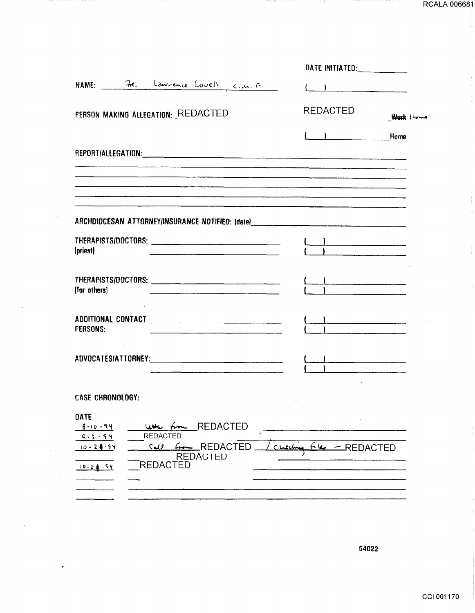| NAME: 71. Laurence Covell c.m. F.<br>REDACTED<br>PERSON MAKING ALLEGATION: REDACTED<br>Want Hy<br>$\begin{array}{ccc} \begin{array}{ccc} \end{array} & \end{array}$ Home |
|--------------------------------------------------------------------------------------------------------------------------------------------------------------------------|
|                                                                                                                                                                          |
|                                                                                                                                                                          |
|                                                                                                                                                                          |
|                                                                                                                                                                          |
|                                                                                                                                                                          |
|                                                                                                                                                                          |
| ARCHDIOCESAN ATTORNEY/INSURANCE NOTIFIED: [date]________________________________                                                                                         |
| (priest)<br><u> 1980 - Johann Harry Barn, mars an Francisco a Carlotte (b. 1980)</u>                                                                                     |
| .<br>1981 - Maria Barristo, matematika kata ya mwana wa 1990 hadi wa 1991 hadi wa 1991 -<br>(for others)<br><u> 1980 - Johann Stoff, amerikansk politiker (d. 1980)</u>  |
| PERSONS:<br><u> 1980 - John Stone, margaret eta ingilaren 1980 - John Stone, margaret eta ingilaria (h. 1901).</u>                                                       |
| $\overline{\phantom{a}}$                                                                                                                                                 |
| <b>CASE CHRONOLOGY:</b>                                                                                                                                                  |
| DATE<br><b>REDACTED</b><br>$8 - 10 - 94$<br><b>REDACTED</b><br>$9 - 1 - 94$                                                                                              |
| Call <i>from</i> REDACTED<br>$10 - 2 - 54$<br>سلحان<br><b>REDACTED</b><br><b>REDACIED</b><br><b>REDACTED</b><br>$10 - 20 - 54$                                           |
|                                                                                                                                                                          |

-1

n,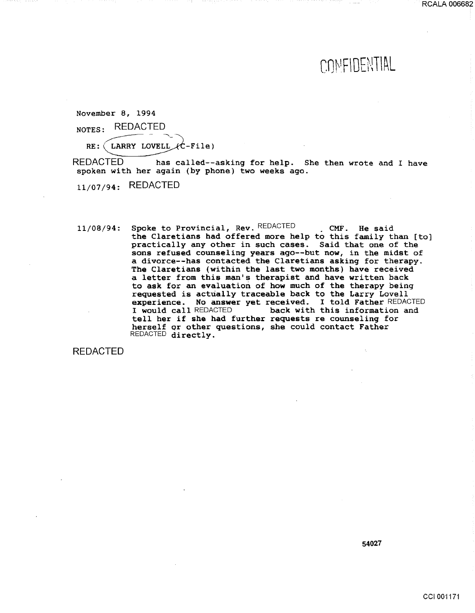## COMFIDENTIAL

RCALA 006682

November 8, 1994

NOTES: REDACTED

RE: (LARRY LOVELL  $\mathcal{L}$ -File)

REDACTED has called--asking for help. She then wrote and I have spoken with her again (by phone) two weeks ago.

11/07/94: REDACTED

 $11/08/94$ : Spoke to Provincial, Rev. REDACTED . CMF. He said the Claretians had offered more help to this family than [to] practically any other in such cases. Said that one of the sons refused counseling years ago--but now, in the midst of a divorce--has contacted the Claretians asking for therapy. The Claretians (within the last two months) have received a letter from this man's therapist and have written back to ask for an evaluation of how much of the therapy being requested is actually traceable back to the Larry Lovell experience. No answer yet received. I told Father REDACTED I would call REDACTED back with this information and tell her if she had further requests re counseling for herself qr other questions, she could contact Father REDACTED directly.

REDACTED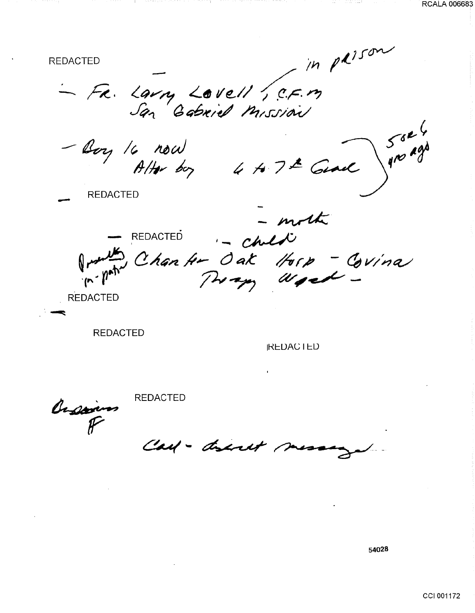$\sim$  in paison **REDACTED** - FR. Larry Lovell , C.F.M - Boy 16 now<br>Alter boy 4 to 7th Genel  $\begin{pmatrix} 5^{6k} \\ 9^{10} \end{pmatrix}$ **REDACTED** moth - REDACTED<br>Justin Chan Hr Oak Horp - Covina **REDACTED** 

**REDACTED** 

**IREDACTED** 

Orson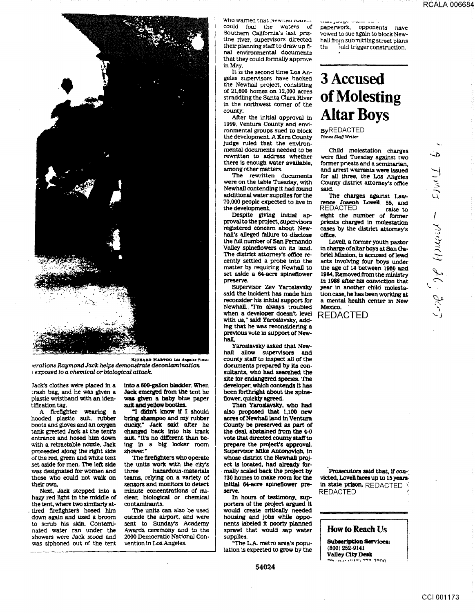

RICHARD HARTOG LOS Angeles Times erations Raymond Jack helps demonstrate decontamination exposed to a chemical or biological attack.

Jack's clothes were placed in a trash bag, and he was given a plastic wristband with an identification tag.

A firefighter wearing a hooded plastic suit, rubber boots and gloves and an oxygen tank greeted Jack at the tent's entrance and hosed him down with a retractable nozzle. Jack proceeded along the right side of the red, green and white tent set aside for men. The left side was designated for women and those who could not walk on their own.

Next, Jack stepped into a hazy red light in the middle of the tent, where two similarly attired firefighters hosed him down again and used a broom to scrub his skin. Contaminated water ran under the showers were Jack stood and was siphoned out of the tent

into a 600-gallon bladder. When Jack emerged from the tent he was given a baby blue paper suit and vellow booties.

"I didn't know if I should bring shampoo and my rubber ducky," Jack said after he changed back into his track suit. "It's no different than being in a big locker room shower."

The firefighters who operate the units work with the city's hazardous-materials three teams, relying on a variety of sensors and monitors to detect minute concentrations of nuclear, biological or chemical contaminants.

The units can also be used outside the airport, and were sent to Sunday's Academy Awards ceremony and to the 2000 Democratic National Convention in Los Angeles.

who warned that newham readed could foul the waters of Southern California's last pristine river, supervisors directed their planning staff to draw up final environmental documents that they could formally approve in May.

It is the second time Los Angeles supervisors have backed the Newhall project, consisting of 21,600 homes on 12,000 acres straddling the Santa Clara River in the northwest corner of the county.

After the initial approval in 1999, Ventura County and environmental groups sued to block the development. A Kern County judge ruled that the environmental documents needed to be rewritten to address whether there is enough water available. among other matters.

The rewritten documents were on the table Tuesday, with Newhall contending it had found additional water supplies for the 70,000 people expected to live in the development.

Despite giving initial approval to the project, supervisors registered concern about Newhall's alleged failure to disclose the full number of San Fernando Valley spineflowers on its land. The district attorney's office recently settled a probe into the matter by requiring Newhall to set aside a 64-acre spineflower preserve.

Supervisor Zev Yaroslavsky said the incident has made him reconsider his initial support for Newhall "I'm always troubled when a developer doesn't level with us," said Yaroslavsky, adding that he was reconsidering a previous vote in support of New-.<br>hall

Yaroslavsky asked that Newhall allow supervisors and county staff to inspect all of the documents prepared by its consultants, who had searched the site for endangered species. The developer, which contends it has been forthright about the spineflower, quickly agreed.

Then Yarosiavsky, who had<br>also proposed that 1,100 new acres of Newhall land in Ventura County be preserved as part of the deal, abstained from the 4-0 vote that directed county staff to prepare the project's approval. Supervisor Mike Antonovich, in whose district the Newhall project is located, had already formally scaled back the project by 730 homes to make room for the initial 64-acre spineflower preserve.

In hours of testimony, supporters of the project argued it would create critically needed housing and jobs while opponents labeled it poorly planned sprawl that would sap water supplies.

The L.A. metro area's population is expected to grow by the

54024

**MARK HAMNO** paperwork, opponents have vowed to sue again to block Newhall from submitting street plans juid trigger construction.

## **3 Accused** of Molesting **Altar Boys**

**ByREDACTED** Times Staff Writer

Child molestation charges were filed Tuesday against two former priests and a seminarian. and arrest warrants were issued for all three, the Los Angeles County district attorney's office said.

The charges against Lawrence Joseph Lovell, 55, and **REDACTED** raise to eight the number of former priests charged in molestation cases by the district attorney's office.

Lovell, a former youth pastor in charge of altar boys at San Gabriel Mission, is accused of lewd acts involving four boys under the age of 14 between 1980 and 1984. Removed from the ministry in 1986 after his conviction that year in another child molestation case, he has been working at a mental health center in New Mexico.

**REDACTED** 

Prosecutors said that, if convicted, Lovell faces up to 15 years. in state prison, REDACTED **REDACTED** 

How to Reach Us

**Subscription Services:**  $(800)$  252-9141 Valley City Desk **Dhuba (919) 722 1900** 

Times  $\sim$  minimally  $J_0$  . Jers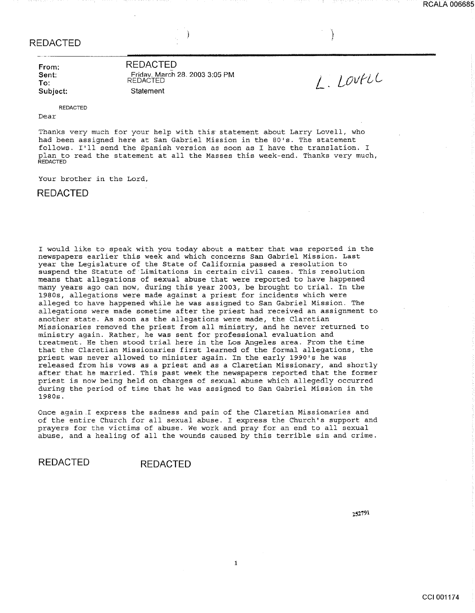**From: Sent: To: Subject:**  **REDACTED**  Fridav\_ March 28\_ 2003 3:05 PM REDACTED **Statement** 

L. LOVFLC

)<br>إيراني<br>المناص

REDACTED

Dear

Thanks very much for your help with this statement about Larry Lovell, who had been assigned here at San Gabriel Mission in the 80's. The statement follows. I'll send the Spanish version as soon as I have the translation. I plan to read the statement at all the Masses this week-end. Thanks very much, **REDACTED** 

Your brother in the Lord,

**REDACTED** 

I would like to speak with you today about a matter that was reported in the newspapers earlier this week and which concerns San Gabriel Mission. Last year the Legislature of the State of California passed a resolution to suspend the Statute of Limitations in certain civil cases. This resolution means that allegations of sexual abuse that were reported to have happened many years ago can now, during this year 2003, be brought to trial. In the 1980s, allegations were made against a priest for incidents which were alleged to have happened while he was assigned to San Gabriel Mission. The allegations were made sometime after the priest had received an assignment to another state. As soon as the allegations were made, the Claretian Missionaries removed the priest from all ministry, and he never returned to ministry again. Rather, he was sent for professional evaluation and treatment. He then stood trial here in the Los Angeles area. From the time that the Claretian Missionaries first learned of the formal allegations, the priest was never allowed to minister again. In the early 1990's he was released from his vows as a priest and as a Claretian Missionary, and shortly after that he married. This past week the newspapers reported that the former priest is now being held on charges of sexual abuse which allegedly occurred during the period of time that he was assigned to San Gabriel Mission in the 1980s.

Once again I express the sadness and pain of the Claretian Missionaries and of the entire Church for all sexual abuse. I express the Church's support and prayers for the victims of abuse. We work and pray for an end to all sexual abuse, and a healing of all the wounds caused by this terrible sin and crime.

1

**REDACTED REDACTED**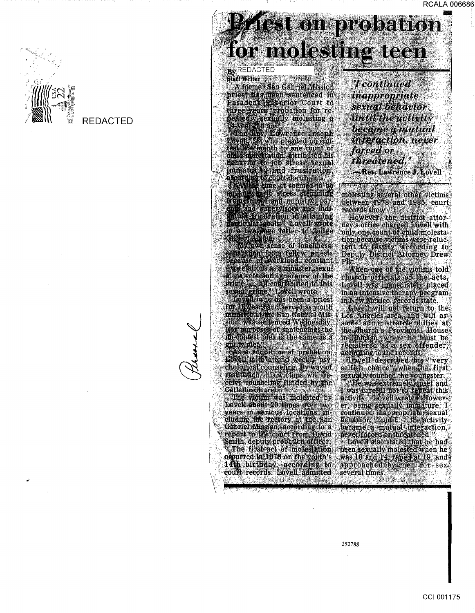

# **Schon probation** for molesting teen

### **By REDACTED**

Staff Writer A former San Gabriel Mission

A former San Gabriel Mission<br>priest assisten sentenced in<br>Basident substitution for re-<br>distribution for re-<br>distribution for re-<br>distribution for re-<br>distribution for re-<br>distribution in the prior of the prior main behavi

Gilbert Alguns sense of loneliness,<br>separation from fellow priests<br>begains of workload constant<br>expeciations as a minister sexual<br>share all components of the<br>oring all components of the<br>sexual comes all components of the<br>f

For guaposes of sentencing the<br>m-contest plea is the same as a guilty plea As a condition of probation.<br>Hotel is to altend weekly psychological counseling By way of<br>restaudedn his victims will geceive counseling funded by the **Catholic Church** 

The victor was molested by<br>Lovell about 20 times over two<br>years in vanious locations and<br>cluding the rectory at the San Gabriel Mission according to a report to the conet from David<br>Smith, deputy probation officer.<br>The first act of molestation occurred in 1978 on the youth's 14th birthday according to could records. Lovell admitted MARKER NA i nga

*<u>Tcontinued*</u> **inappropriate** sextal behavior until the activity become g mutual interaction, never forced or threatened. Rev. Lawrence J. Lovell

molesting several other victims<br>between 1978 and 1985, court records show

However the district attor-<br>ney's office charged bowell with<br>only one count of child molestation because vettins were reluc-<br>tant to testify according to<br>Deputy District Attorney Drew FЩ

When one of the victims told<br>church of ficials of the acts, Lovell was immediately placed<br>in an intensive therapy program<br>in New Mexico, records state

Loyell will not return to the<br>Los Angeles area, and will as<br>sume administrative duties at the church's Provincial House<br>in Chicago, where he must be<br>registered as a sex offender, according to the records according to the records<br>
flowell described this 'very<br>
selfish choice' when the first<br>
sexually touched the youngster<br>
described the youngster<br>
devel was defined to repeat this<br>
activity<br>
critically immediate is the<br>
cont became a mutual interaction. never forced of threatened.

Lovell also stated that he had<br>heen sexually molested when he was 10 and 14, raped at 19, and<br>approached by men for sex several times.

<u> Pana ang</u>